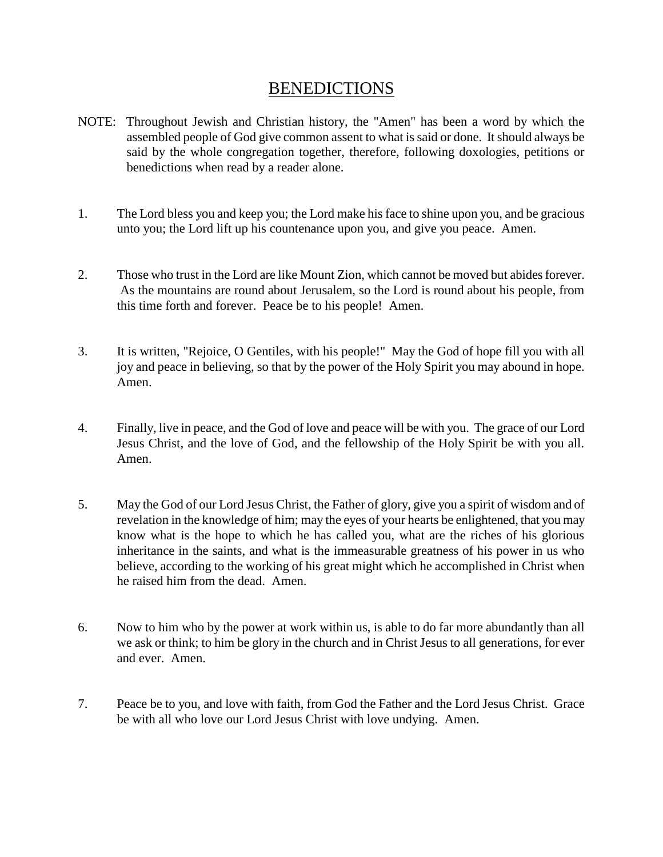## BENEDICTIONS

- NOTE: Throughout Jewish and Christian history, the "Amen" has been a word by which the assembled people of God give common assent to what is said or done. It should always be said by the whole congregation together, therefore, following doxologies, petitions or benedictions when read by a reader alone.
- 1. The Lord bless you and keep you; the Lord make his face to shine upon you, and be gracious unto you; the Lord lift up his countenance upon you, and give you peace. Amen.
- 2. Those who trust in the Lord are like Mount Zion, which cannot be moved but abides forever. As the mountains are round about Jerusalem, so the Lord is round about his people, from this time forth and forever. Peace be to his people! Amen.
- 3. It is written, "Rejoice, O Gentiles, with his people!" May the God of hope fill you with all joy and peace in believing, so that by the power of the Holy Spirit you may abound in hope. Amen.
- 4. Finally, live in peace, and the God of love and peace will be with you. The grace of our Lord Jesus Christ, and the love of God, and the fellowship of the Holy Spirit be with you all. Amen.
- 5. May the God of our Lord Jesus Christ, the Father of glory, give you a spirit of wisdom and of revelation in the knowledge of him; may the eyes of your hearts be enlightened, that you may know what is the hope to which he has called you, what are the riches of his glorious inheritance in the saints, and what is the immeasurable greatness of his power in us who believe, according to the working of his great might which he accomplished in Christ when he raised him from the dead. Amen.
- 6. Now to him who by the power at work within us, is able to do far more abundantly than all we ask or think; to him be glory in the church and in Christ Jesus to all generations, for ever and ever. Amen.
- 7. Peace be to you, and love with faith, from God the Father and the Lord Jesus Christ. Grace be with all who love our Lord Jesus Christ with love undying. Amen.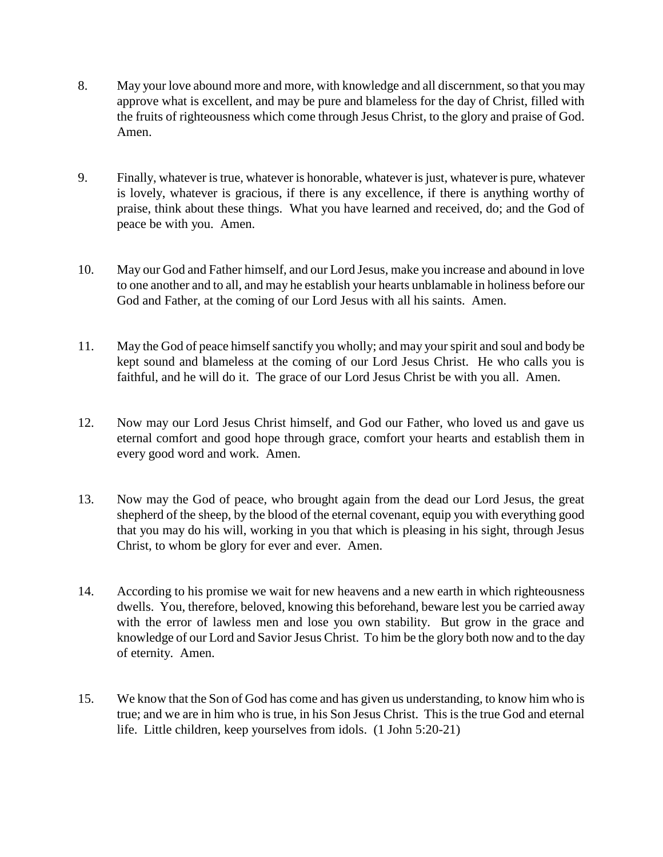- 8. May your love abound more and more, with knowledge and all discernment, so that you may approve what is excellent, and may be pure and blameless for the day of Christ, filled with the fruits of righteousness which come through Jesus Christ, to the glory and praise of God. Amen.
- 9. Finally, whatever is true, whatever is honorable, whatever is just, whatever is pure, whatever is lovely, whatever is gracious, if there is any excellence, if there is anything worthy of praise, think about these things. What you have learned and received, do; and the God of peace be with you. Amen.
- 10. May our God and Father himself, and our Lord Jesus, make you increase and abound in love to one another and to all, and may he establish your hearts unblamable in holiness before our God and Father, at the coming of our Lord Jesus with all his saints. Amen.
- 11. May the God of peace himself sanctify you wholly; and may your spirit and soul and body be kept sound and blameless at the coming of our Lord Jesus Christ. He who calls you is faithful, and he will do it. The grace of our Lord Jesus Christ be with you all. Amen.
- 12. Now may our Lord Jesus Christ himself, and God our Father, who loved us and gave us eternal comfort and good hope through grace, comfort your hearts and establish them in every good word and work. Amen.
- 13. Now may the God of peace, who brought again from the dead our Lord Jesus, the great shepherd of the sheep, by the blood of the eternal covenant, equip you with everything good that you may do his will, working in you that which is pleasing in his sight, through Jesus Christ, to whom be glory for ever and ever. Amen.
- 14. According to his promise we wait for new heavens and a new earth in which righteousness dwells. You, therefore, beloved, knowing this beforehand, beware lest you be carried away with the error of lawless men and lose you own stability. But grow in the grace and knowledge of our Lord and Savior Jesus Christ. To him be the glory both now and to the day of eternity. Amen.
- 15. We know that the Son of God has come and has given us understanding, to know him who is true; and we are in him who is true, in his Son Jesus Christ. This is the true God and eternal life. Little children, keep yourselves from idols. (1 John 5:20-21)